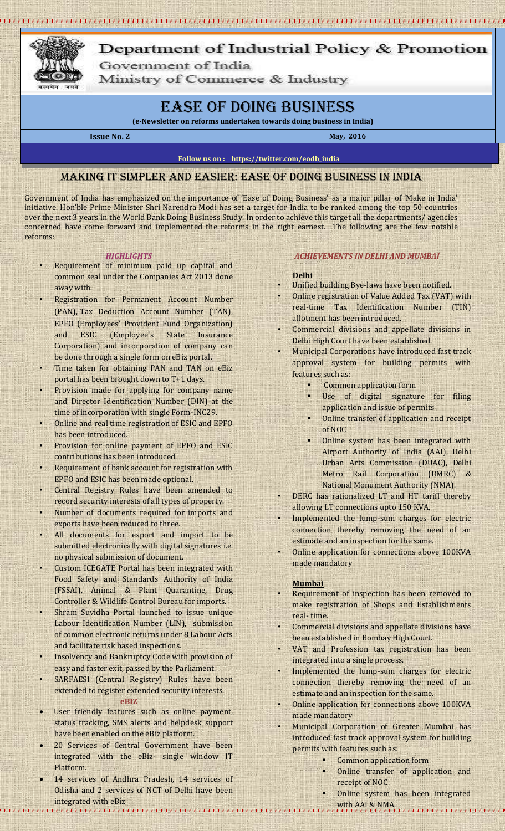

# Department of Industrial Policy & Promotion Government of India

Ministry of Commerce & Industry

# Ease of Doing Business

**(e-Newsletter on reforms undertaken towards doing business in India)**

**Issue No. 2 May, 2016** 

#### **Follow us on : https://twitter.com/eodb\_india**

# Making it simpler and easier: Ease of Doing Business in India

Government of India has emphasized on the importance of 'Ease of Doing Business' as a major pillar of 'Make in India' initiative. Hon'ble Prime Minister Shri Narendra Modi has set a target for India to be ranked among the top 50 countries over the next 3 years in the World Bank Doing Business Study. In order to achieve this target all the departments/ agencies concerned have come forward and implemented the reforms in the right earnest. The following are the few notable reforms:

## *HIGHLIGHTS*

- Requirement of minimum paid up capital and common seal under the Companies Act 2013 done away with.
- Registration for Permanent Account Number (PAN), Tax Deduction Account Number (TAN), EPFO (Employees' Provident Fund Organization) and ESIC (Employee's State Insurance Corporation) and incorporation of company can be done through a single form on eBiz portal.
- Time taken for obtaining PAN and TAN on eBiz portal has been brought down to T+1 days.
- Provision made for applying for company name and Director Identification Number (DIN) at the time of incorporation with single Form-INC29.
- Online and real time registration of ESIC and EPFO has been introduced.
- Provision for online payment of EPFO and ESIC contributions has been introduced.
- Requirement of bank account for registration with EPFO and ESIC has been made optional.
- Central Registry Rules have been amended to record security interests of all types of property.
- Number of documents required for imports and exports have been reduced to three.
- All documents for export and import to be submitted electronically with digital signatures i.e. no physical submission of document.
- Custom ICEGATE Portal has been integrated with Food Safety and Standards Authority of India (FSSAI), Animal & Plant Quarantine, Drug Controller & Wildlife Control Bureau for imports.
- Shram Suvidha Portal launched to issue unique Labour Identification Number (LIN), submission of common electronic returns under 8 Labour Acts and facilitate risk based inspections.
- Insolvency and Bankruptcy Code with provision of easy and faster exit, passed by the Parliament.
- SARFAESI (Central Registry) Rules have been extended to register extended security interests. **eBIZ**
- User friendly features such as online payment, status tracking, SMS alerts and helpdesk support have been enabled on the eBiz platform.
- 20 Services of Central Government have been integrated with the eBiz- single window IT Platform.
- 14 services of Andhra Pradesh, 14 services of Odisha and 2 services of NCT of Delhi have been integrated with eBiz ntegrated with eBiz.<br>Contract the Charles contract of contract of contract of contract of contract of Mith AAI & NMA. The contract of contract of co , , , , , , , , , ,

## *ACHIEVEMENTS IN DELHI AND MUMBAI*

#### **Delhi**

- Unified building Bye-laws have been notified.
- Online registration of Value Added Tax (VAT) with real-time Tax Identification Number (TIN) allotment has been introduced.
- Commercial divisions and appellate divisions in Delhi High Court have been established.
- Municipal Corporations have introduced fast track approval system for building permits with features such as:
	- Common application form
	- Use of digital signature for filing application and issue of permits
	- Online transfer of application and receipt of NOC
	- Online system has been integrated with Airport Authority of India (AAI), Delhi Urban Arts Commission (DUAC), Delhi Metro Rail Corporation (DMRC) & National Monument Authority (NMA).
- DERC has rationalized LT and HT tariff thereby allowing LT connections upto 150 KVA,
- Implemented the lump-sum charges for electric connection thereby removing the need of an estimate and an inspection for the same.
- Online application for connections above 100KVA made mandatory

#### **Mumbai**

- Requirement of inspection has been removed to make registration of Shops and Establishments real- time.
- Commercial divisions and appellate divisions have been established in Bombay High Court.
- VAT and Profession tax registration has been integrated into a single process.
- Implemented the lump-sum charges for electric connection thereby removing the need of an estimate and an inspection for the same.
- Online application for connections above 100KVA made mandatory
- Municipal Corporation of Greater Mumbai has introduced fast track approval system for building permits with features such as:
	- Common application form
	- Online transfer of application and receipt of NOC
	- Online system has been integrated
		-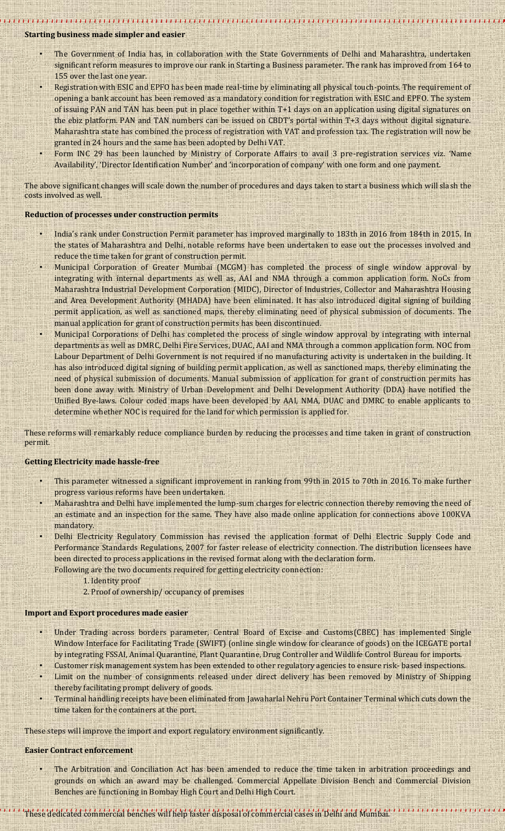### **Starting business made simpler and easier**

• The Government of India has, in collaboration with the State Governments of Delhi and Maharashtra, undertaken significant reform measures to improve our rank in Starting a Business parameter. The rank has improved from 164 to 155 over the last one year.

- Registration with ESIC and EPFO has been made real-time by eliminating all physical touch-points. The requirement of opening a bank account has been removed as a mandatory condition for registration with ESIC and EPFO. The system of issuing PAN and TAN has been put in place together within T+1 days on an application using digital signatures on the ebiz platform. PAN and TAN numbers can be issued on CBDT's portal within T+3 days without digital signature. Maharashtra state has combined the process of registration with VAT and profession tax. The registration will now be granted in 24 hours and the same has been adopted by Delhi VAT.
- Form INC 29 has been launched by Ministry of Corporate Affairs to avail 3 pre-registration services viz. 'Name Availability', 'Director Identification Number' and 'incorporation of company' with one form and one payment.

The above significant changes will scale down the number of procedures and days taken to start a business which will slash the costs involved as well.

#### **Reduction of processes under construction permits**

- India's rank under Construction Permit parameter has improved marginally to 183th in 2016 from 184th in 2015. In the states of Maharashtra and Delhi, notable reforms have been undertaken to ease out the processes involved and reduce the time taken for grant of construction permit.
- Municipal Corporation of Greater Mumbai (MCGM) has completed the process of single window approval by integrating with internal departments as well as, AAI and NMA through a common application form. NoCs from Maharashtra Industrial Development Corporation (MIDC), Director of Industries, Collector and Maharashtra Housing and Area Development Authority (MHADA) have been eliminated. It has also introduced digital signing of building permit application, as well as sanctioned maps, thereby eliminating need of physical submission of documents. The manual application for grant of construction permits has been discontinued.
- Municipal Corporations of Delhi has completed the process of single window approval by integrating with internal departments as well as DMRC, Delhi Fire Services, DUAC, AAI and NMA through a common application form. NOC from Labour Department of Delhi Government is not required if no manufacturing activity is undertaken in the building. It has also introduced digital signing of building permit application, as well as sanctioned maps, thereby eliminating the need of physical submission of documents. Manual submission of application for grant of construction permits has been done away with. Ministry of Urban Development and Delhi Development Authority (DDA) have notified the Unified Bye-laws. Colour coded maps have been developed by AAI, NMA, DUAC and DMRC to enable applicants to determine whether NOC is required for the land for which permission is applied for.

These reforms will remarkably reduce compliance burden by reducing the processes and time taken in grant of construction permit.

#### **Getting Electricity made hassle-free**

- This parameter witnessed a significant improvement in ranking from 99th in 2015 to 70th in 2016. To make further progress various reforms have been undertaken.
- Maharashtra and Delhi have implemented the lump-sum charges for electric connection thereby removing the need of an estimate and an inspection for the same. They have also made online application for connections above 100KVA mandatory.
- Delhi Electricity Regulatory Commission has revised the application format of Delhi Electric Supply Code and Performance Standards Regulations, 2007 for faster release of electricity connection. The distribution licensees have been directed to process applications in the revised format along with the declaration form.
	- Following are the two documents required for getting electricity connection:
		- 1. Identity proof
		- 2. Proof of ownership/ occupancy of premises

#### **Import and Export procedures made easier**

- Under Trading across borders parameter, Central Board of Excise and Customs(CBEC) has implemented Single Window Interface for Facilitating Trade (SWIFT) (online single window for clearance of goods) on the ICEGATE portal by integrating FSSAI, Animal Quarantine, Plant Quarantine, Drug Controller and Wildlife Control Bureau for imports.
- Customer risk management system has been extended to other regulatory agencies to ensure risk- based inspections.
- Limit on the number of consignments released under direct delivery has been removed by Ministry of Shipping thereby facilitating prompt delivery of goods.
- Terminal handling receipts have been eliminated from Jawaharlal Nehru Port Container Terminal which cuts down the time taken for the containers at the port.

These steps will improve the import and export regulatory environment significantly.

#### **Easier Contract enforcement**

• The Arbitration and Conciliation Act has been amended to reduce the time taken in arbitration proceedings and grounds on which an award may be challenged. Commercial Appellate Division Bench and Commercial Division Benches are functioning in Bombay High Court and Delhi High Court.

# These dedicated commercial benches will help faster disposal of commercial cases in Delhi and Mumbai.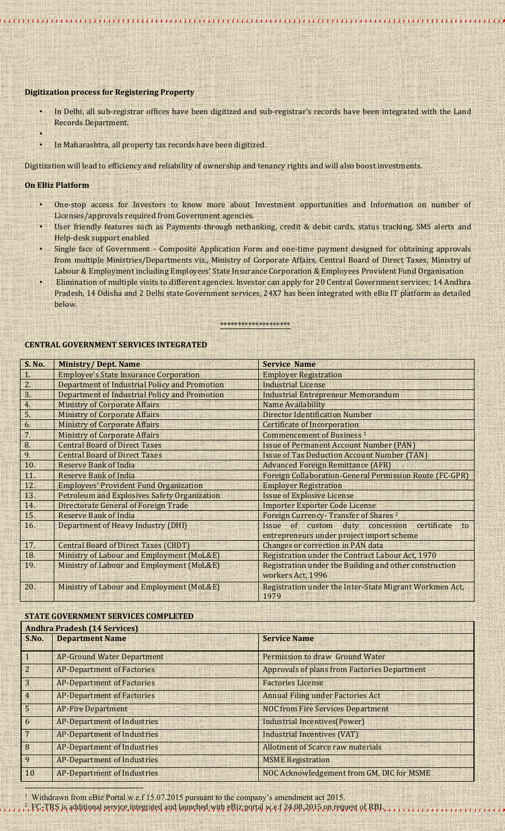#### **Digitization process for Registering Property**

• In Delhi, all sub-registrar offices have been digitized and sub-registrar's records have been integrated with the Land Records Department.

1999 FEFFE DE LE DISTINT DE L'EST LE DISTINTE DE L'EST DE L'EST FEJE L'ARREST DE FEFFE DE L'EST DE L'EST L'EST

• In Maharashtra, all property tax records have been digitized.

Digitization will lead to efficiency and reliability of ownership and tenancy rights and will also boost investments.

#### **On EBiz Platform**

•

- One-stop access for Investors to know more about Investment opportunities and Information on number of Licenses/approvals required from Government agencies.
- User friendly features such as Payments through netbanking, credit & debit cards, status tracking, SMS alerts and Help-desk support enabled
- Single face of Government Composite Application Form and one-time payment designed for obtaining approvals from multiple Ministries/Departments viz., Ministry of Corporate Affairs, Central Board of Direct Taxes, Ministry of Labour & Employment including Employees' State Insurance Corporation & Employees Provident Fund Organisation
- Elimination of multiple visits to different agencies. Investor can apply for 20 Central Government services; 14 Andhra Pradesh, 14 Odisha and 2 Delhi state Government services, 24X7 has been integrated with eBiz IT platform as detailed below.

## \*\*\*\*\*\*\*\*\*\*\*\*\*\*\*\*\*\*\*

#### **CENTRAL GOVERNMENT SERVICES INTEGRATED**

| <b>S. No.</b>  | <b>Ministry/Dept. Name</b>                          | <b>Service Name</b>                                                         |
|----------------|-----------------------------------------------------|-----------------------------------------------------------------------------|
| 1.             | <b>Employee's State Insurance Corporation</b>       | <b>Employer Registration</b>                                                |
| 2.             | Department of Industrial Policy and Promotion       | <b>Industrial License</b>                                                   |
| 3 <sup>1</sup> | Department of Industrial Policy and Promotion       | <b>Industrial Entrepreneur Memorandum</b>                                   |
| 4.             | <b>Ministry of Corporate Affairs</b>                | Name Availability                                                           |
| 5 <sup>1</sup> | <b>Ministry of Corporate Affairs</b>                | <b>Director Identification Number</b>                                       |
| 6.             | <b>Ministry of Corporate Affairs</b>                | <b>Certificate of Incorporation</b>                                         |
| 7 <sup>1</sup> | <b>Ministry of Corporate Affairs</b>                | <b>Commencement of Business 1</b>                                           |
| 8.             | <b>Central Board of Direct Taxes</b>                | <b>Issue of Permanent Account Number (PAN)</b>                              |
| 9.             | <b>Central Board of Direct Taxes</b>                | <b>Issue of Tax Deduction Account Number (TAN)</b>                          |
| 10.            | Reserve Bank of India                               | <b>Advanced Foreign Remittance (AFR)</b>                                    |
| 11.            | Reserve Bank of India                               | <b>Foreign Collaboration-General Permission Route (FC-GPR)</b>              |
| 12.            | <b>Employees' Provident Fund Organization</b>       | <b>Employer Registration</b>                                                |
| 13.            | <b>Petroleum and Explosives Safety Organization</b> | <b>Issue of Explosive License</b>                                           |
| 14.            | Directorate General of Foreign Trade                | <b>Importer Exporter Code License</b>                                       |
| 15.            | <b>Reserve Bank of India</b>                        | Foreign Currency-Transfer of Shares <sup>2</sup>                            |
| 16.            | Department of Heavy Industry (DHI)                  | Issue of custom duty concession<br>certificate<br>to                        |
|                |                                                     | entrepreneurs under project import scheme                                   |
| 17.            | <b>Central Board of Direct Taxes (CBDT)</b>         | <b>Changes or correction in PAN data</b>                                    |
| 18.            | Ministry of Labour and Employment (MoL&E)           | Registration under the Contract Labour Act, 1970                            |
| 19.            | Ministry of Labour and Employment (MoL&E)           | Registration under the Building and other construction<br>workers Act, 1996 |
| 20.            | Ministry of Labour and Employment (MoL&E)           | Registration under the Inter-State Migrant Workmen Act,<br>1979             |

# **STATE GOVERNMENT SERVICES COMPLETED**

| S.No.          | <b>Andhra Pradesh (14 Services)</b><br><b>Department Name</b> | <b>Service Name</b>                                 |
|----------------|---------------------------------------------------------------|-----------------------------------------------------|
|                | <b>AP-Ground Water Department</b>                             | Permission to draw Ground Water                     |
| $\overline{c}$ | <b>AP-Department of Factories</b>                             | <b>Approvals of plans from Factories Department</b> |
| 3              | <b>AP-Department of Factories</b>                             | <b>Factories License</b>                            |
| $\overline{4}$ | <b>AP-Department of Factories</b>                             | <b>Annual Filing under Factories Act</b>            |
| 5              | <b>AP-Fire Department</b>                                     | <b>NOC from Fire Services Department</b>            |
| 6              | <b>AP-Department of Industries</b>                            | Industrial Incentives (Power)                       |
|                | <b>AP-Department of Industries</b>                            | <b>Industrial Incentives (VAT)</b>                  |
| 8              | <b>AP-Department of Industries</b>                            | <b>Allotment of Scarce raw materials</b>            |
| 9              | <b>AP-Department of Industries</b>                            | <b>MSME</b> Registration                            |
| 10             | <b>AP-Department of Industries</b>                            | NOC Acknowledgement from GM, DIC for MSME           |
|                |                                                               |                                                     |

1 Withdrawn from eBiz Portal w.e.f 15.07.2015 pursuant to the company's amendment act 2015.

 $^2$ , FC<sub>r</sub>TRS is additional service integrated and launched with eBiz portal w.e.f 24.08.2015 on request of RBI.